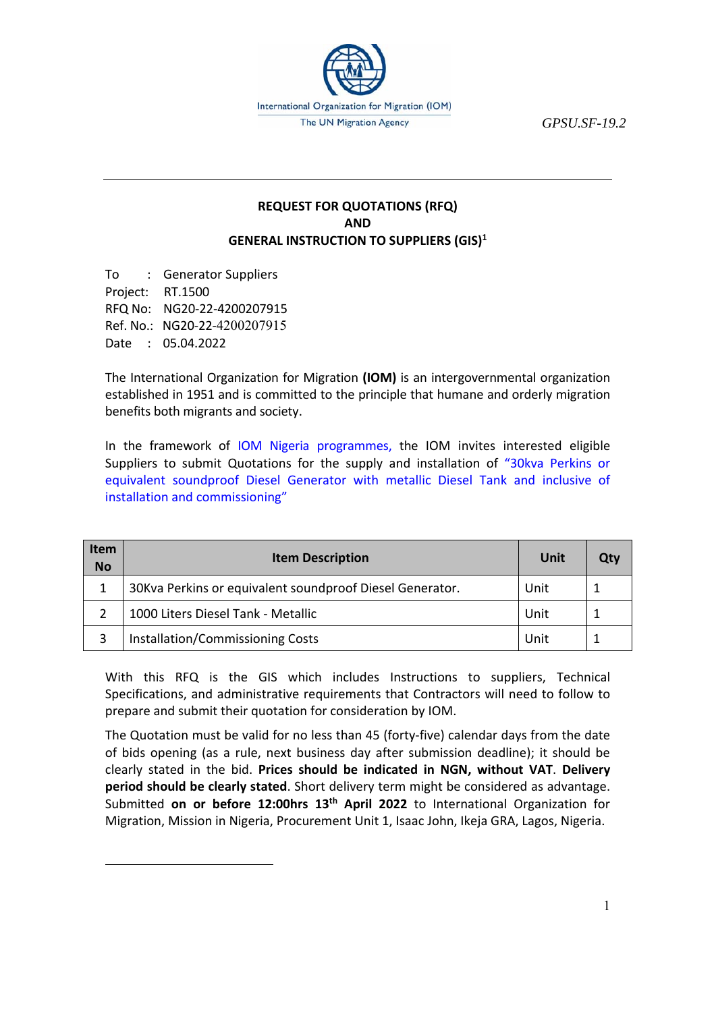

*GPSU.SF-19.2* 

## **REQUEST FOR QUOTATIONS (RFQ) AND GENERAL INSTRUCTION TO SUPPLIERS (GIS)1**

To : Generator Suppliers Project: RT.1500 RFQ No: NG20‐22‐4200207915 Ref. No.: NG20‐22‐4200207915 Date : 05.04.2022

The International Organization for Migration **(IOM)** is an intergovernmental organization established in 1951 and is committed to the principle that humane and orderly migration benefits both migrants and society.

In the framework of IOM Nigeria programmes, the IOM invites interested eligible Suppliers to submit Quotations for the supply and installation of "30kva Perkins or equivalent soundproof Diesel Generator with metallic Diesel Tank and inclusive of installation and commissioning"

| <b>Item</b><br><b>No</b> | <b>Item Description</b>                                  | Unit | Qtv |
|--------------------------|----------------------------------------------------------|------|-----|
|                          | 30Kva Perkins or equivalent soundproof Diesel Generator. | Unit |     |
|                          | 1000 Liters Diesel Tank - Metallic                       | Unit |     |
|                          | Installation/Commissioning Costs                         | Unit |     |

With this RFQ is the GIS which includes Instructions to suppliers, Technical Specifications, and administrative requirements that Contractors will need to follow to prepare and submit their quotation for consideration by IOM.

The Quotation must be valid for no less than 45 (forty-five) calendar days from the date of bids opening (as a rule, next business day after submission deadline); it should be clearly stated in the bid. **Prices should be indicated in NGN, without VAT**. **Delivery period should be clearly stated**. Short delivery term might be considered as advantage. Submitted **on or before 12:00hrs 13th April 2022**  to International Organization for Migration, Mission in Nigeria, Procurement Unit 1, Isaac John, Ikeja GRA, Lagos, Nigeria.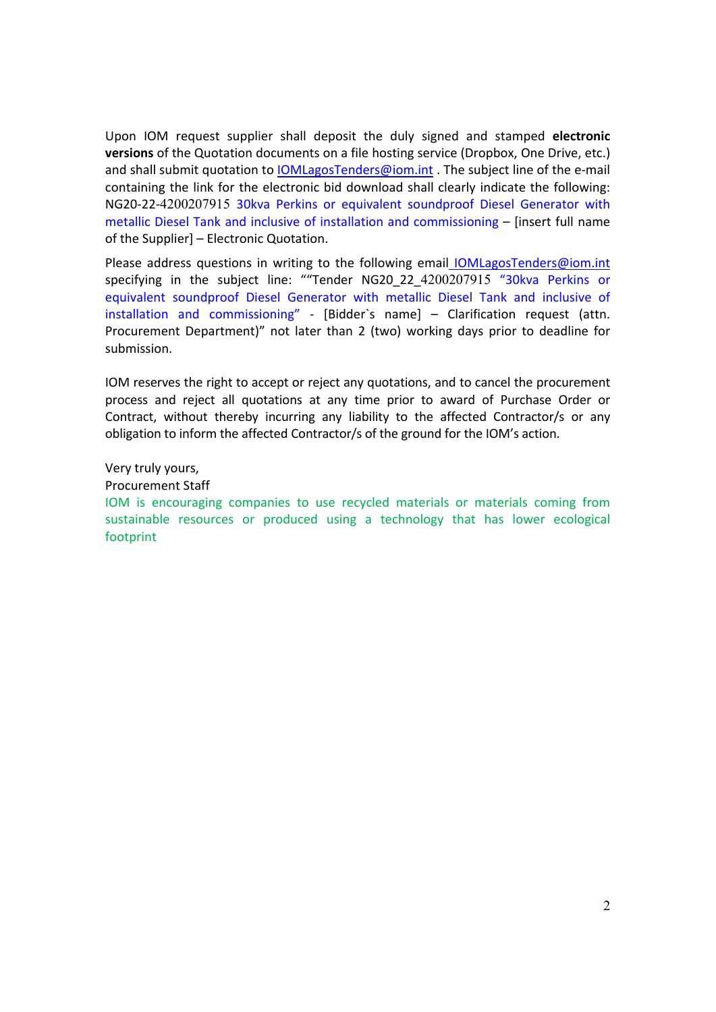Upon IOM request supplier shall deposit the duly signed and stamped **electronic versions** of the Quotation documents on a file hosting service (Dropbox, One Drive, etc.) and shall submit quotation to **IOMLagosTenders@iom.int** . The subject line of the e-mail containing the link for the electronic bid download shall clearly indicate the following: NG20‐22‐4200207915 30kva Perkins or equivalent soundproof Diesel Generator with metallic Diesel Tank and inclusive of installation and commissioning – [insert full name of the Supplier] – Electronic Quotation.

Please address questions in writing to the following email **IOMLagosTenders@iom.int** specifying in the subject line: ""Tender NG20\_22\_4200207915 "30kva Perkins or equivalent soundproof Diesel Generator with metallic Diesel Tank and inclusive of installation and commissioning" ‐ [Bidder`s name] – Clarification request (attn. Procurement Department)" not later than 2 (two) working days prior to deadline for submission.

IOM reserves the right to accept or reject any quotations, and to cancel the procurement process and reject all quotations at any time prior to award of Purchase Order or Contract, without thereby incurring any liability to the affected Contractor/s or any obligation to inform the affected Contractor/s of the ground for the IOM's action.

Very truly yours, Procurement Staff IOM is encouraging companies to use recycled materials or materials coming from sustainable resources or produced using a technology that has lower ecological footprint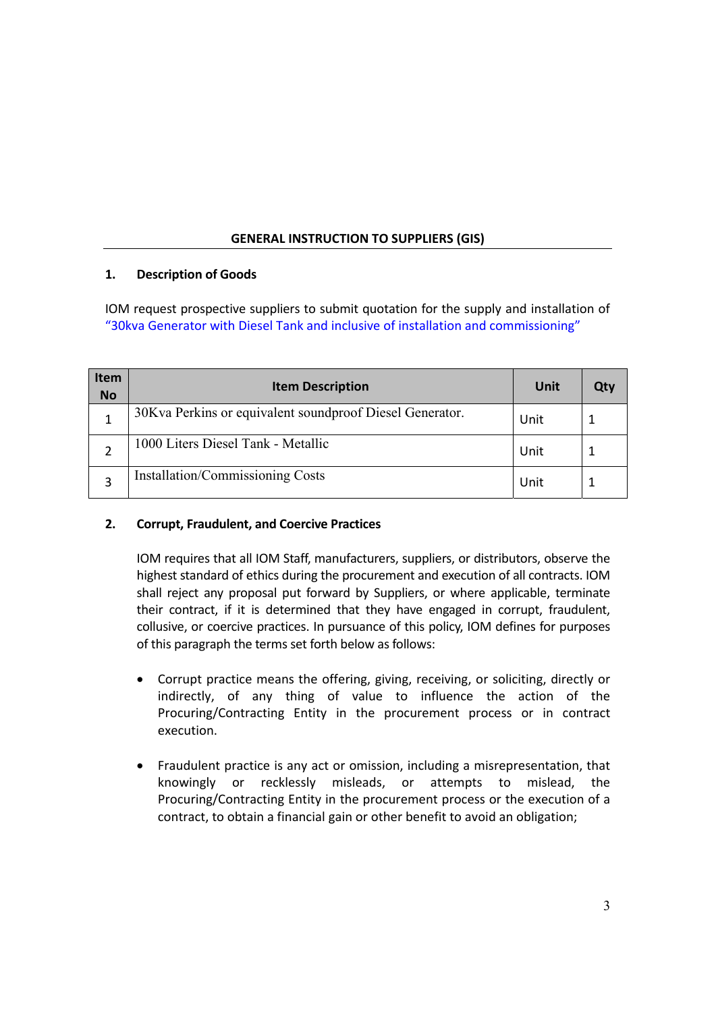# **GENERAL INSTRUCTION TO SUPPLIERS (GIS)**

# **1. Description of Goods**

IOM request prospective suppliers to submit quotation for the supply and installation of "30kva Generator with Diesel Tank and inclusive of installation and commissioning"

| <b>Item</b><br><b>No</b> | <b>Item Description</b>                                  | Unit | Qtv |
|--------------------------|----------------------------------------------------------|------|-----|
|                          | 30Kva Perkins or equivalent soundproof Diesel Generator. | Unit |     |
|                          | 1000 Liters Diesel Tank - Metallic                       | Unit |     |
|                          | Installation/Commissioning Costs                         | Unit |     |

# **2. Corrupt, Fraudulent, and Coercive Practices**

IOM requires that all IOM Staff, manufacturers, suppliers, or distributors, observe the highest standard of ethics during the procurement and execution of all contracts. IOM shall reject any proposal put forward by Suppliers, or where applicable, terminate their contract, if it is determined that they have engaged in corrupt, fraudulent, collusive, or coercive practices. In pursuance of this policy, IOM defines for purposes of this paragraph the terms set forth below as follows:

- Corrupt practice means the offering, giving, receiving, or soliciting, directly or indirectly, of any thing of value to influence the action of the Procuring/Contracting Entity in the procurement process or in contract execution.
- Fraudulent practice is any act or omission, including a misrepresentation, that knowingly or recklessly misleads, or attempts to mislead, the Procuring/Contracting Entity in the procurement process or the execution of a contract, to obtain a financial gain or other benefit to avoid an obligation;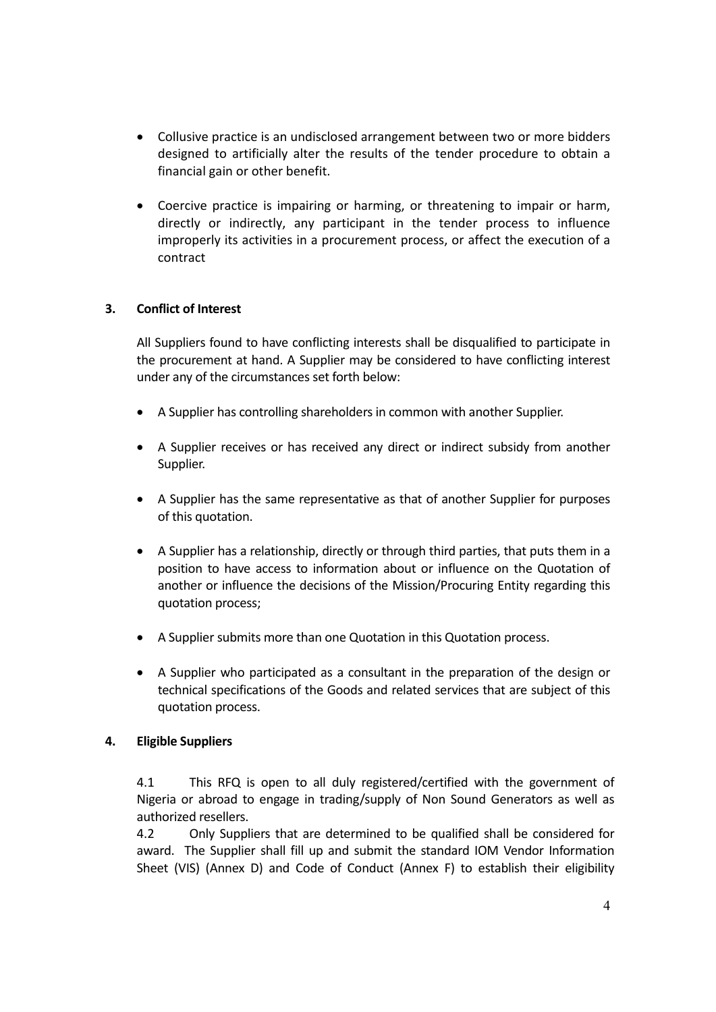- Collusive practice is an undisclosed arrangement between two or more bidders designed to artificially alter the results of the tender procedure to obtain a financial gain or other benefit.
- Coercive practice is impairing or harming, or threatening to impair or harm, directly or indirectly, any participant in the tender process to influence improperly its activities in a procurement process, or affect the execution of a contract

## **3. Conflict of Interest**

All Suppliers found to have conflicting interests shall be disqualified to participate in the procurement at hand. A Supplier may be considered to have conflicting interest under any of the circumstances set forth below:

- A Supplier has controlling shareholders in common with another Supplier.
- A Supplier receives or has received any direct or indirect subsidy from another Supplier.
- A Supplier has the same representative as that of another Supplier for purposes of this quotation.
- A Supplier has a relationship, directly or through third parties, that puts them in a position to have access to information about or influence on the Quotation of another or influence the decisions of the Mission/Procuring Entity regarding this quotation process;
- A Supplier submits more than one Quotation in this Quotation process.
- A Supplier who participated as a consultant in the preparation of the design or technical specifications of the Goods and related services that are subject of this quotation process.

#### **4. Eligible Suppliers**

4.1 This RFQ is open to all duly registered/certified with the government of Nigeria or abroad to engage in trading/supply of Non Sound Generators as well as authorized resellers.

4.2 Only Suppliers that are determined to be qualified shall be considered for award. The Supplier shall fill up and submit the standard IOM Vendor Information Sheet (VIS) (Annex D) and Code of Conduct (Annex F) to establish their eligibility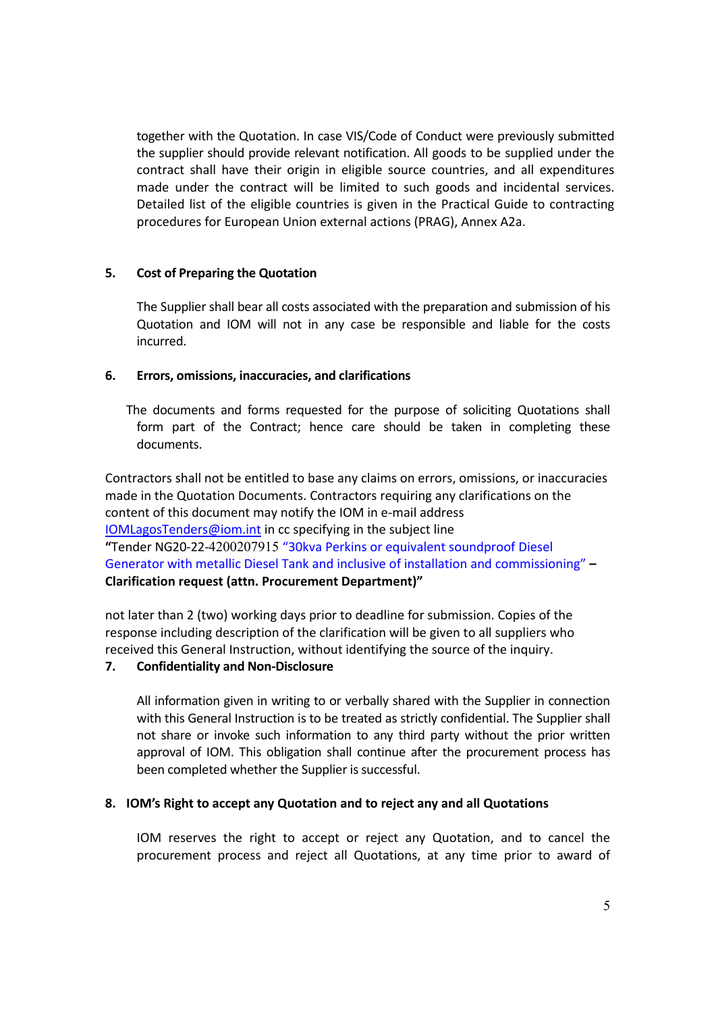together with the Quotation. In case VIS/Code of Conduct were previously submitted the supplier should provide relevant notification. All goods to be supplied under the contract shall have their origin in eligible source countries, and all expenditures made under the contract will be limited to such goods and incidental services. Detailed list of the eligible countries is given in the Practical Guide to contracting procedures for European Union external actions (PRAG), Annex A2a.

## **5. Cost of Preparing the Quotation**

The Supplier shall bear all costs associated with the preparation and submission of his Quotation and IOM will not in any case be responsible and liable for the costs incurred.

## **6. Errors, omissions, inaccuracies, and clarifications**

The documents and forms requested for the purpose of soliciting Quotations shall form part of the Contract; hence care should be taken in completing these documents.

Contractors shall not be entitled to base any claims on errors, omissions, or inaccuracies made in the Quotation Documents. Contractors requiring any clarifications on the content of this document may notify the IOM in e-mail address IOMLagosTenders@iom.int in cc specifying in the subject line **"**Tender NG20‐22‐4200207915 "30kva Perkins or equivalent soundproof Diesel Generator with metallic Diesel Tank and inclusive of installation and commissioning" **– Clarification request (attn. Procurement Department)"** 

not later than 2 (two) working days prior to deadline for submission. Copies of the response including description of the clarification will be given to all suppliers who received this General Instruction, without identifying the source of the inquiry.

# **7. Confidentiality and Non‐Disclosure**

All information given in writing to or verbally shared with the Supplier in connection with this General Instruction is to be treated as strictly confidential. The Supplier shall not share or invoke such information to any third party without the prior written approval of IOM. This obligation shall continue after the procurement process has been completed whether the Supplier is successful.

## **8. IOM's Right to accept any Quotation and to reject any and all Quotations**

IOM reserves the right to accept or reject any Quotation, and to cancel the procurement process and reject all Quotations, at any time prior to award of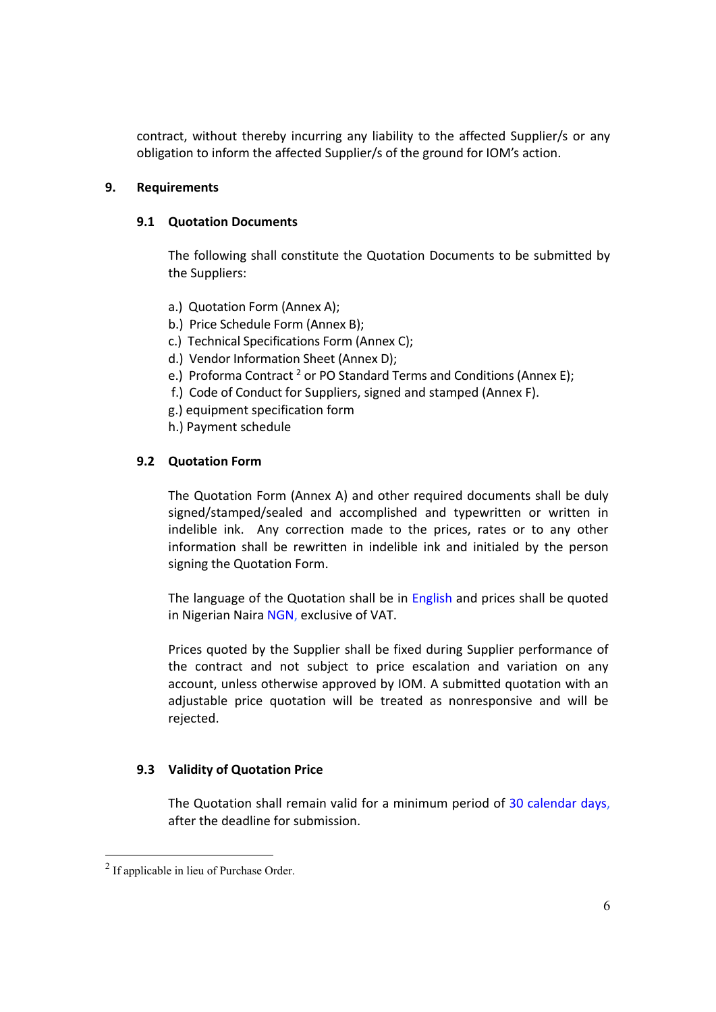contract, without thereby incurring any liability to the affected Supplier/s or any obligation to inform the affected Supplier/s of the ground for IOM's action.

### **9. Requirements**

### **9.1 Quotation Documents**

The following shall constitute the Quotation Documents to be submitted by the Suppliers:

- a.) Quotation Form (Annex A);
- b.) Price Schedule Form (Annex B);
- c.) Technical Specifications Form (Annex C);
- d.) Vendor Information Sheet (Annex D);
- e.) Proforma Contract<sup>2</sup> or PO Standard Terms and Conditions (Annex E);
- f.) Code of Conduct for Suppliers, signed and stamped (Annex F).
- g.) equipment specification form
- h.) Payment schedule

### **9.2 Quotation Form**

The Quotation Form (Annex A) and other required documents shall be duly signed/stamped/sealed and accomplished and typewritten or written in indelible ink. Any correction made to the prices, rates or to any other information shall be rewritten in indelible ink and initialed by the person signing the Quotation Form.

The language of the Quotation shall be in English and prices shall be quoted in Nigerian Naira NGN, exclusive of VAT.

Prices quoted by the Supplier shall be fixed during Supplier performance of the contract and not subject to price escalation and variation on any account, unless otherwise approved by IOM. A submitted quotation with an adjustable price quotation will be treated as nonresponsive and will be rejected.

### **9.3 Validity of Quotation Price**

The Quotation shall remain valid for a minimum period of 30 calendar days, after the deadline for submission.

<sup>&</sup>lt;sup>2</sup> If applicable in lieu of Purchase Order.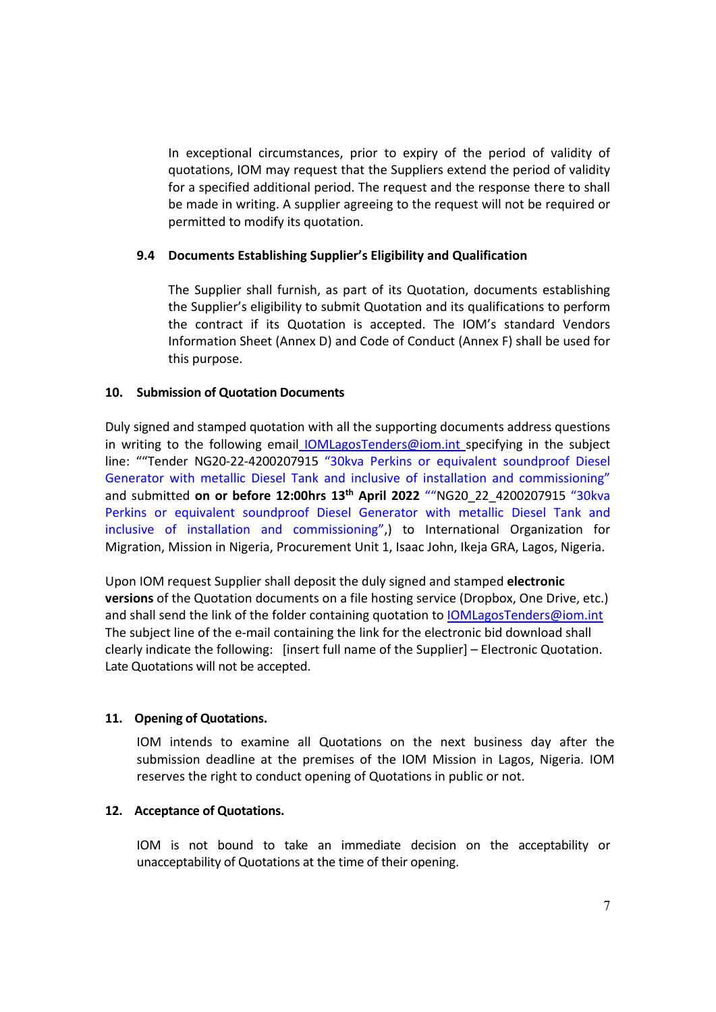In exceptional circumstances, prior to expiry of the period of validity of quotations, IOM may request that the Suppliers extend the period of validity for a specified additional period. The request and the response there to shall be made in writing. A supplier agreeing to the request will not be required or permitted to modify its quotation.

### **9.4 Documents Establishing Supplier's Eligibility and Qualification**

The Supplier shall furnish, as part of its Quotation, documents establishing the Supplier's eligibility to submit Quotation and its qualifications to perform the contract if its Quotation is accepted. The IOM's standard Vendors Information Sheet (Annex D) and Code of Conduct (Annex F) shall be used for this purpose.

### **10. Submission of Quotation Documents**

Duly signed and stamped quotation with all the supporting documents address questions in writing to the following email  $IOMLagosTenders@iom.inti>specificitying$  in the subject line: "Tender NG20-22-4200207915 "30kva Perkins or equivalent soundproof Diesel Generator with metallic Diesel Tank and inclusive of installation and commissioning" and submitted **on or before 12:00hrs 13th April 2022**  ""NG20\_22\_4200207915 "30kva Perkins or equivalent soundproof Diesel Generator with metallic Diesel Tank and inclusive of installation and commissioning",) to International Organization for Migration, Mission in Nigeria, Procurement Unit 1, Isaac John, Ikeja GRA, Lagos, Nigeria.

Upon IOM request Supplier shall deposit the duly signed and stamped **electronic versions** of the Quotation documents on a file hosting service (Dropbox, One Drive, etc.) and shall send the link of the folder containing quotation to IOMLagosTenders@iom.int The subject line of the e-mail containing the link for the electronic bid download shall clearly indicate the following: [insert full name of the Supplier] – Electronic Quotation. Late Quotations will not be accepted.

## **11. Opening of Quotations.**

IOM intends to examine all Quotations on the next business day after the submission deadline at the premises of the IOM Mission in Lagos, Nigeria. IOM reserves the right to conduct opening of Quotations in public or not.

#### **12. Acceptance of Quotations.**

IOM is not bound to take an immediate decision on the acceptability or unacceptability of Quotations at the time of their opening.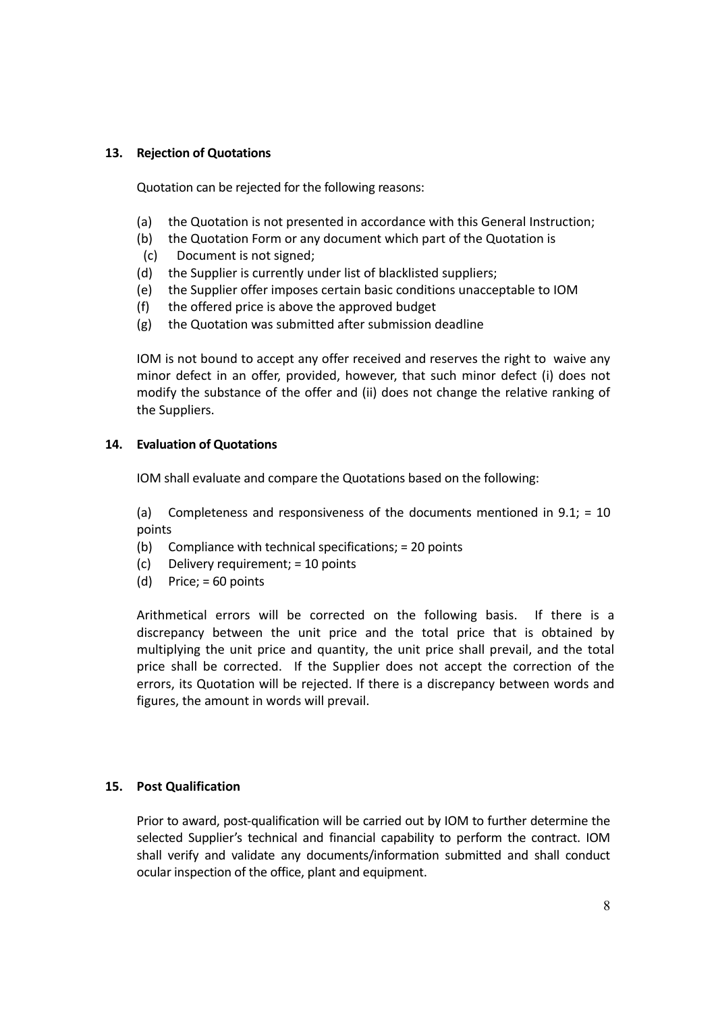## **13. Rejection of Quotations**

Quotation can be rejected for the following reasons:

- (a) the Quotation is not presented in accordance with this General Instruction;
- (b) the Quotation Form or any document which part of the Quotation is
- (c) Document is not signed;
- (d) the Supplier is currently under list of blacklisted suppliers;
- (e) the Supplier offer imposes certain basic conditions unacceptable to IOM
- (f) the offered price is above the approved budget
- (g) the Quotation was submitted after submission deadline

IOM is not bound to accept any offer received and reserves the right to waive any minor defect in an offer, provided, however, that such minor defect (i) does not modify the substance of the offer and (ii) does not change the relative ranking of the Suppliers.

## **14. Evaluation of Quotations**

IOM shall evaluate and compare the Quotations based on the following:

(a) Completeness and responsiveness of the documents mentioned in  $9.1$ ; = 10 points

- (b) Compliance with technical specifications; = 20 points
- (c) Delivery requirement; = 10 points
- (d) Price;  $= 60$  points

Arithmetical errors will be corrected on the following basis. If there is a discrepancy between the unit price and the total price that is obtained by multiplying the unit price and quantity, the unit price shall prevail, and the total price shall be corrected. If the Supplier does not accept the correction of the errors, its Quotation will be rejected. If there is a discrepancy between words and figures, the amount in words will prevail.

# **15. Post Qualification**

Prior to award, post-qualification will be carried out by IOM to further determine the selected Supplier's technical and financial capability to perform the contract. IOM shall verify and validate any documents/information submitted and shall conduct ocular inspection of the office, plant and equipment.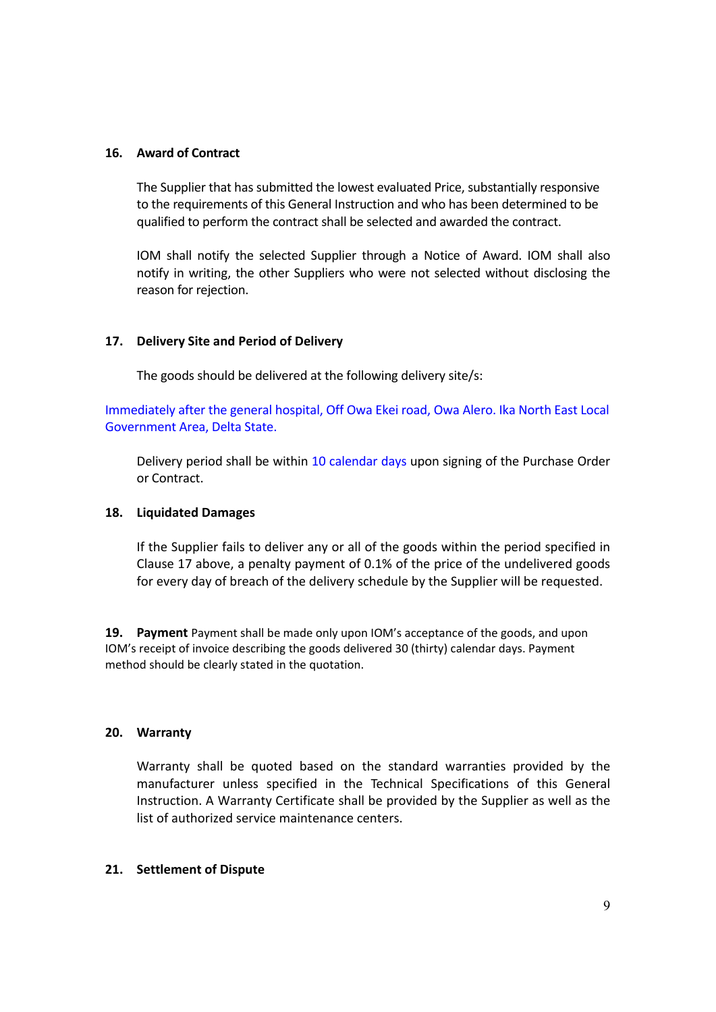### **16. Award of Contract**

The Supplier that has submitted the lowest evaluated Price, substantially responsive to the requirements of this General Instruction and who has been determined to be qualified to perform the contract shall be selected and awarded the contract.

IOM shall notify the selected Supplier through a Notice of Award. IOM shall also notify in writing, the other Suppliers who were not selected without disclosing the reason for rejection.

## **17. Delivery Site and Period of Delivery**

The goods should be delivered at the following delivery site/s:

Immediately after the general hospital, Off Owa Ekei road, Owa Alero. Ika North East Local Government Area, Delta State.

Delivery period shall be within 10 calendar days upon signing of the Purchase Order or Contract.

#### **18. Liquidated Damages**

If the Supplier fails to deliver any or all of the goods within the period specified in Clause 17 above, a penalty payment of 0.1% of the price of the undelivered goods for every day of breach of the delivery schedule by the Supplier will be requested.

**19. Payment** Payment shall be made only upon IOM's acceptance of the goods, and upon IOM's receipt of invoice describing the goods delivered 30 (thirty) calendar days. Payment method should be clearly stated in the quotation.

#### **20. Warranty**

Warranty shall be quoted based on the standard warranties provided by the manufacturer unless specified in the Technical Specifications of this General Instruction. A Warranty Certificate shall be provided by the Supplier as well as the list of authorized service maintenance centers.

#### **21. Settlement of Dispute**